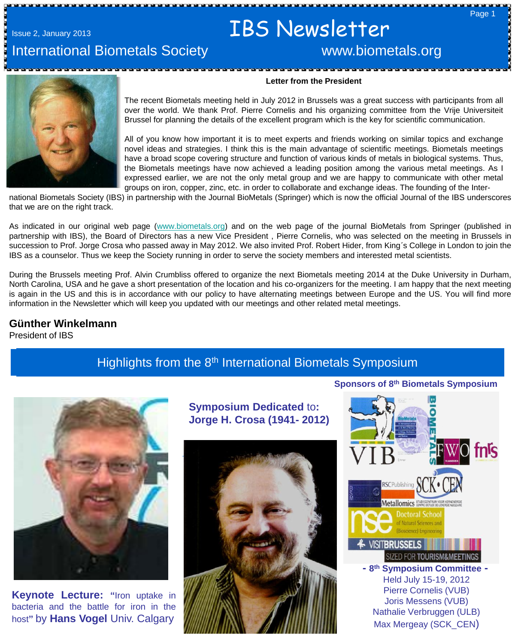# Issue 2, January 2013 **IBS** Newsletter

# International Biometals Society **WALCONG MACCONTENT** www.biometals.org

#### **Letter from the President**

The recent Biometals meeting held in July 2012 in Brussels was a great success with participants from all over the world. We thank Prof. Pierre Cornelis and his organizing committee from the Vrije Universiteit Brussel for planning the details of the excellent program which is the key for scientific communication.

All of you know how important it is to meet experts and friends working on similar topics and exchange novel ideas and strategies. I think this is the main advantage of scientific meetings. Biometals meetings have a broad scope covering structure and function of various kinds of metals in biological systems. Thus, the Biometals meetings have now achieved a leading position among the various metal meetings. As I expressed earlier, we are not the only metal group and we are happy to communicate with other metal groups on iron, copper, zinc, etc. in order to collaborate and exchange ideas. The founding of the Inter-

national Biometals Society (IBS) in partnership with the Journal BioMetals (Springer) which is now the official Journal of the IBS underscores that we are on the right track.

As indicated in our original web page ([www.biometals.org\)](http://www.biometals.org/) and on the web page of the journal BioMetals from Springer (published in partnership with IBS), the Board of Directors has a new Vice President , Pierre Cornelis, who was selected on the meeting in Brussels in succession to Prof. Jorge Crosa who passed away in May 2012. We also invited Prof. Robert Hider, from King´s College in London to join the IBS as a counselor. Thus we keep the Society running in order to serve the society members and interested metal scientists.

During the Brussels meeting Prof. Alvin Crumbliss offered to organize the next Biometals meeting 2014 at the Duke University in Durham, North Carolina, USA and he gave a short presentation of the location and his co-organizers for the meeting. I am happy that the next meeting is again in the US and this is in accordance with our policy to have alternating meetings between Europe and the US. You will find more information in the Newsletter which will keep you updated with our meetings and other related metal meetings.

### **Günther Winkelmann**

 President of IBS

# Highlights from the 8<sup>th</sup> International Biometals Symposium



**Keynote Lecture: "**Iron uptake in bacteria and the battle for iron in the host**"** by **Hans Vogel** Univ. Calgary

**Symposium Dedicated** to**: Jorge H. Crosa (1941- 2012)**





Max Mergeay (SCK\_CEN)

**Sponsors of 8th Biometals Symposium**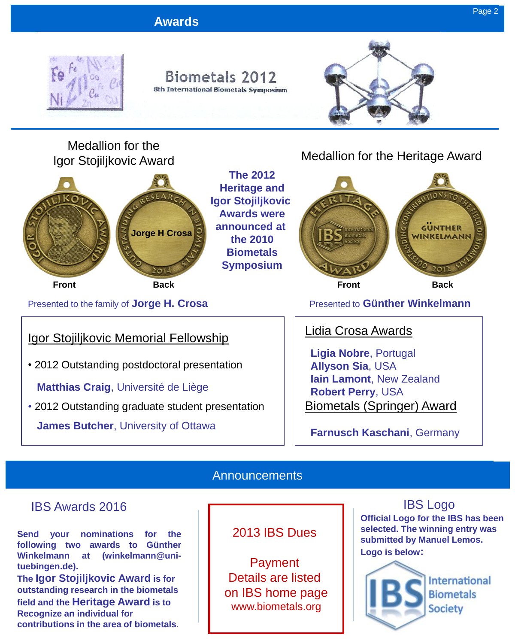

# Igor Stojiljkovic Award



**The 2012 Heritage and Igor Stojiljkovic Awards were announced at the 2010 Biometals Symposium**

# Medallion for the Heritage Award



Presented to the family of **Jorge H. Crosa** Presented to **Günther Winkelmann** 

# Igor Stojiljkovic Memorial Fellowship

• 2012 Outstanding postdoctoral presentation

 **Matthias Craig**, Université de Liège

• 2012 Outstanding graduate student presentation  **James Butcher**, University of Ottawa

# Lidia Crosa Awards

 **Ligia Nobre**, Portugal **Allyson Sia**, USA **Iain Lamont**, New Zealand **Robert Perry**, USA Biometals (Springer) Award

 **Farnusch Kaschani**, Germany

## **Announcements**

### IBS Awards 2016

**Send your nominations for the following two awards to Günther Winkelmann at (winkelmann@unituebingen.de).**

**The Igor Stojiljkovic Award is for outstanding research in the biometals field and the Heritage Award is to Recognize an individual for contributions in the area of biometals**.

### 2013 IBS Dues

Payment Details are listed on IBS home page www.biometals.org

# IBS Logo

**Official Logo for the IBS has been selected. The winning entry was submitted by Manuel Lemos. Logo is below:**